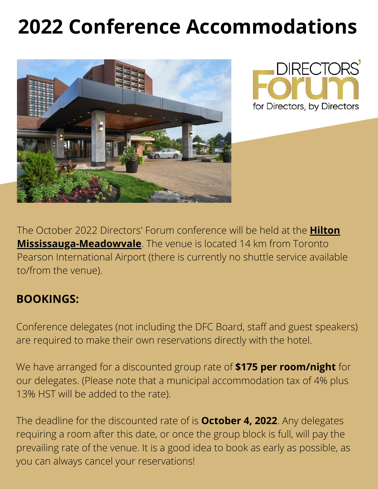# **2022 Conference Accommodations**





The October 2022 Directors' Forum conference will be held at the **Hilton [Mississauga-Meadowvale](https://www.hilton.com/en/hotels/yyzmohh-hilton-mississauga-meadowvale/?SEO_id=GMB-AMER-HI-YYZMOHH&y_source=1_MjI4MzA1Mi03MTUtbG9jYXRpb24ud2Vic2l0ZQ%3D%3D)**. The venue is located 14 km from Toronto Pearson International Airport (there is currently no shuttle service available to/from the venue).

#### **BOOKINGS:**

Conference delegates (not including the DFC Board, staff and guest speakers) are required to make their own reservations directly with the hotel.

We have arranged for a discounted group rate of **\$175 per room/night** for our delegates. (Please note that a municipal accommodation tax of 4% plus 13% HST will be added to the rate).

The deadline for the discounted rate of is **October 4, 2022**. Any delegates requiring a room after this date, or once the group block is full, will pay the prevailing rate of the venue. It is a good idea to book as early as possible, as you can always cancel your reservations!